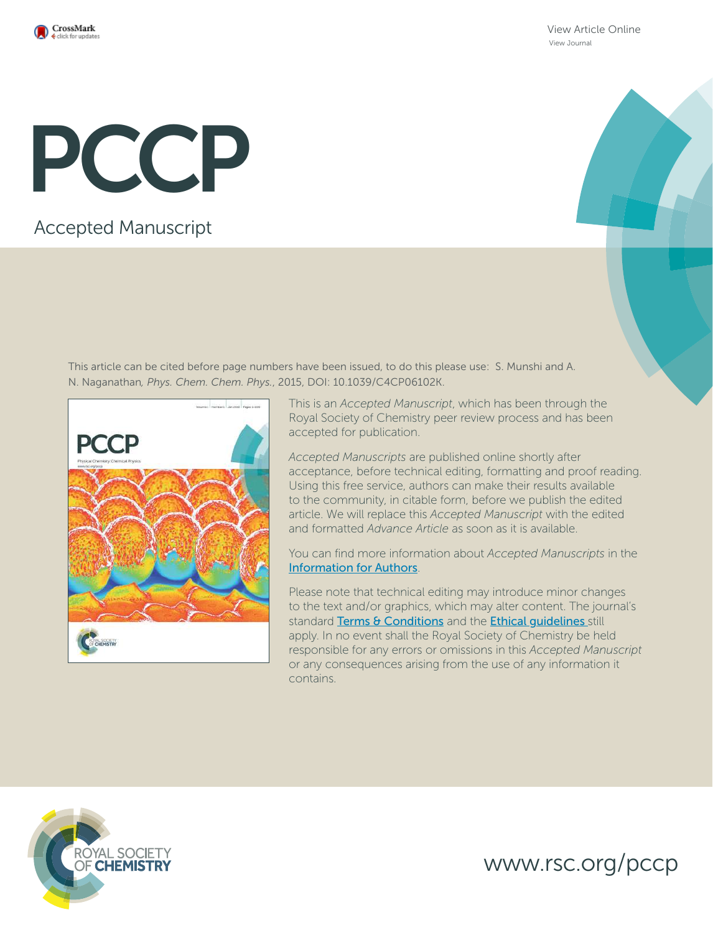

View Article Online View Journal

# PCCP

## Accepted Manuscript

This article can be cited before page numbers have been issued, to do this please use: S. Munshi and A. N. Naganathan*, Phys. Chem. Chem. Phys.*, 2015, DOI: 10.1039/C4CP06102K.



This is an *Accepted Manuscript*, which has been through the Royal Society of Chemistry peer review process and has been accepted for publication.

*Accepted Manuscripts* are published online shortly after acceptance, before technical editing, formatting and proof reading. Using this free service, authors can make their results available to the community, in citable form, before we publish the edited article. We will replace this *Accepted Manuscript* with the edited and formatted *Advance Article* as soon as it is available.

You can find more information about *Accepted Manuscripts* in the Information for Authors.

Please note that technical editing may introduce minor changes to the text and/or graphics, which may alter content. The journal's standard Terms & Conditions and the Ethical guidelines still apply. In no event shall the Royal Society of Chemistry be held responsible for any errors or omissions in this *Accepted Manuscript* or any consequences arising from the use of any information it contains.



www.rsc.org/pccp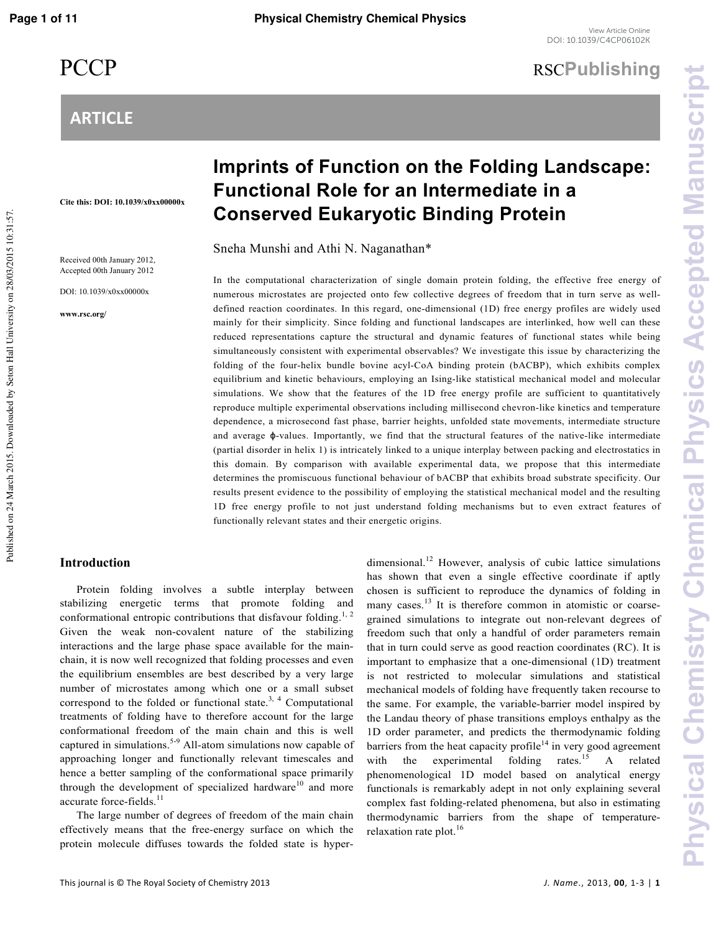## **ARTICLE**

Cite this: DOI: 10.1039/x0xx00000x

Received 00th January 2012, Accepted 00th January 2012

DOI: 10.1039/x0xx00000x

www.rsc.org/

# Imprints of Function on the Folding Landscape: **Functional Role for an Intermediate in a Conserved Eukaryotic Binding Protein**

Sneha Munshi and Athi N. Naganathan\*

In the computational characterization of single domain protein folding, the effective free energy of numerous microstates are projected onto few collective degrees of freedom that in turn serve as well. defined reaction coordinates. In this regard, one.dimensional (1D) free energy profiles are widely used mainly for their simplicity. Since folding and functional landscapes are interlinked, how well can these reduced representations capture the structural and dynamic features of functional states while being simultaneously consistent with experimental observables? We investigate this issue by characterizing the folding of the four-helix bundle bovine acyl-CoA binding protein (bACBP), which exhibits complex equilibrium and kinetic behaviours, employing an Ising.like statistical mechanical model and molecular simulations. We show that the features of the 1D free energy profile are sufficient to quantitatively reproduce multiple experimental observations including millisecond chevron.like kinetics and temperature dependence, a microsecond fast phase, barrier heights, unfolded state movements, intermediate structure and average ϕ.values. Importantly, we find that the structural features of the native.like intermediate (partial disorder in helix 1) is intricately linked to a unique interplay between packing and electrostatics in this domain. By comparison with available experimental data, we propose that this intermediate determines the promiscuous functional behaviour of bACBP that exhibits broad substrate specificity. Our results present evidence to the possibility of employing the statistical mechanical model and the resulting 1D free energy profile to not just understand folding mechanisms but to even extract features of functionally relevant states and their energetic origins.

### **Introduction**

 Protein folding involves a subtle interplay between stabilizing energetic terms that promote folding and conformational entropic contributions that disfavour folding.<sup>1, 2</sup> Given the weak non-covalent nature of the stabilizing interactions and the large phase space available for the main. chain, it is now well recognized that folding processes and even the equilibrium ensembles are best described by a very large number of microstates among which one or a small subset correspond to the folded or functional state.<sup>3, 4</sup> Computational treatments of folding have to therefore account for the large conformational freedom of the main chain and this is well captured in simulations.<sup>5-9</sup> All-atom simulations now capable of approaching longer and functionally relevant timescales and hence a better sampling of the conformational space primarily through the development of specialized hardware<sup>10</sup> and more accurate force-fields.<sup>11</sup>

 The large number of degrees of freedom of the main chain effectively means that the free.energy surface on which the protein molecule diffuses towards the folded state is hyper.

dimensional.<sup>12</sup> However, analysis of cubic lattice simulations has shown that even a single effective coordinate if aptly chosen is sufficient to reproduce the dynamics of folding in many cases. $13$  It is therefore common in atomistic or coarsegrained simulations to integrate out non.relevant degrees of freedom such that only a handful of order parameters remain that in turn could serve as good reaction coordinates (RC). It is important to emphasize that a one.dimensional (1D) treatment is not restricted to molecular simulations and statistical mechanical models of folding have frequently taken recourse to the same. For example, the variable.barrier model inspired by the Landau theory of phase transitions employs enthalpy as the 1D order parameter, and predicts the thermodynamic folding barriers from the heat capacity profile $14$  in very good agreement with the experimental folding rates.<sup>15</sup> A related phenomenological 1D model based on analytical energy functionals is remarkably adept in not only explaining several complex fast folding.related phenomena, but also in estimating thermodynamic barriers from the shape of temperature. relaxation rate plot. $16$ 

#### PCCP RSCPu **RSCPublishing**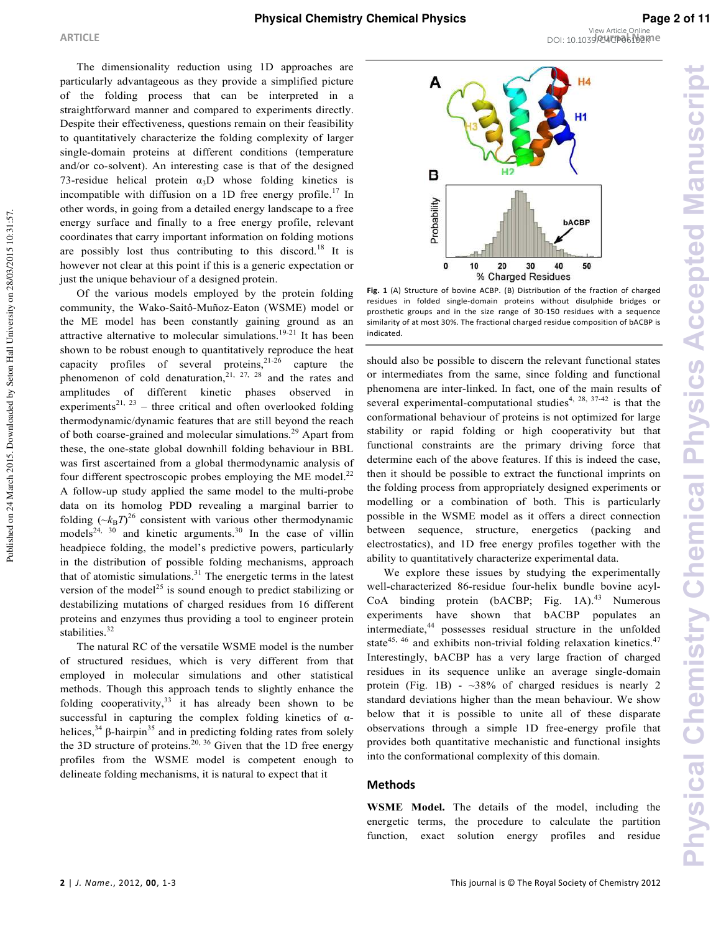View Article Online<br>DOI: 10.1039**/c4CP06102Kne** 

 The dimensionality reduction using 1D approaches are particularly advantageous as they provide a simplified picture of the folding process that can be interpreted in a straightforward manner and compared to experiments directly. Despite their effectiveness, questions remain on their feasibility to quantitatively characterize the folding complexity of larger single.domain proteins at different conditions (temperature and/or co.solvent). An interesting case is that of the designed 73-residue helical protein  $\alpha_3D$  whose folding kinetics is incompatible with diffusion on a 1D free energy profile.<sup>17</sup> In other words, in going from a detailed energy landscape to a free energy surface and finally to a free energy profile, relevant coordinates that carry important information on folding motions are possibly lost thus contributing to this discord.<sup>18</sup> It is however not clear at this point if this is a generic expectation or just the unique behaviour of a designed protein.

 Of the various models employed by the protein folding community, the Wako.Saitô.Muñoz.Eaton (WSME) model or the ME model has been constantly gaining ground as an attractive alternative to molecular simulations.<sup>19-21</sup> It has been shown to be robust enough to quantitatively reproduce the heat capacity profiles of several proteins, $2^{1-26}$  capture the phenomenon of cold denaturation,  $2^{1, 27, 28}$  and the rates and amplitudes of different kinetic phases observed in experiments<sup>21, 23</sup> – three critical and often overlooked folding thermodynamic/dynamic features that are still beyond the reach of both coarse-grained and molecular simulations.<sup>29</sup> Apart from these, the one.state global downhill folding behaviour in BBL was first ascertained from a global thermodynamic analysis of four different spectroscopic probes employing the ME model. $^{22}$ A follow-up study applied the same model to the multi-probe data on its homolog PDD revealing a marginal barrier to folding  $({\sim}k_{\rm B}T)^{26}$  consistent with various other thermodynamic models<sup>24, 30</sup> and kinetic arguments.<sup>30</sup> In the case of villin headpiece folding, the model's predictive powers, particularly in the distribution of possible folding mechanisms, approach that of atomistic simulations. $31$  The energetic terms in the latest version of the model<sup>25</sup> is sound enough to predict stabilizing or destabilizing mutations of charged residues from 16 different proteins and enzymes thus providing a tool to engineer protein stabilities.<sup>32</sup>

 The natural RC of the versatile WSME model is the number of structured residues, which is very different from that employed in molecular simulations and other statistical methods. Though this approach tends to slightly enhance the folding cooperativity,  $33$  it has already been shown to be successful in capturing the complex folding kinetics of  $\alpha$ helices,<sup>34</sup> β-hairpin<sup>35</sup> and in predicting folding rates from solely the 3D structure of proteins.<sup>20, 36</sup> Given that the 1D free energy profiles from the WSME model is competent enough to delineate folding mechanisms, it is natural to expect that it



**Fig. 1** (A) Structure of bovine ACBP. (B) Distribution of the fraction of charged residues in folded single-domain proteins without disulphide bridges or prosthetic groups and in the size range of 30-150 residues with a sequence similarity of at most 30%. The fractional charged residue composition of bACBP is indicated.

should also be possible to discern the relevant functional states or intermediates from the same, since folding and functional phenomena are inter.linked. In fact, one of the main results of several experimental-computational studies<sup>4, 28, 37-42</sup> is that the conformational behaviour of proteins is not optimized for large stability or rapid folding or high cooperativity but that functional constraints are the primary driving force that determine each of the above features. If this is indeed the case, then it should be possible to extract the functional imprints on the folding process from appropriately designed experiments or modelling or a combination of both. This is particularly possible in the WSME model as it offers a direct connection between sequence, structure, energetics (packing and electrostatics), and 1D free energy profiles together with the ability to quantitatively characterize experimental data.

 We explore these issues by studying the experimentally well-characterized 86-residue four-helix bundle bovine acyl-CoA binding protein (bACBP; Fig. 1A).<sup>43</sup> Numerous experiments have shown that bACBP populates an intermediate,<sup>44</sup> possesses residual structure in the unfolded state<sup>45, 46</sup> and exhibits non-trivial folding relaxation kinetics.<sup>47</sup> Interestingly, bACBP has a very large fraction of charged residues in its sequence unlike an average single.domain protein (Fig. 1B) -  $\sim$ 38% of charged residues is nearly 2 standard deviations higher than the mean behaviour. We show below that it is possible to unite all of these disparate observations through a simple 1D free.energy profile that provides both quantitative mechanistic and functional insights into the conformational complexity of this domain.

### **Methods**

**WSME Model.** The details of the model, including the energetic terms, the procedure to calculate the partition function, exact solution energy profiles and residue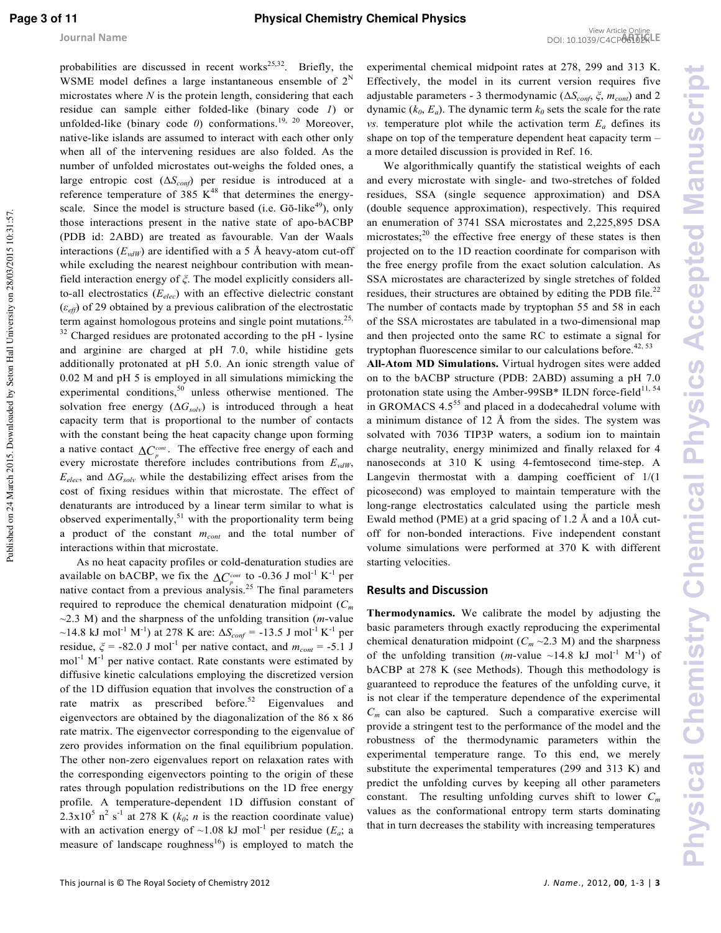WSME model defines a large instantaneous ensemble of  $2^N$ microstates where *N* is the protein length, considering that each residue can sample either folded.like (binary code *1*) or unfolded-like (binary code  $\theta$ ) conformations.<sup>19, 20</sup> Moreover, native.like islands are assumed to interact with each other only when all of the intervening residues are also folded. As the number of unfolded microstates out-weighs the folded ones, a large entropic cost  $(\Delta S_{conf})$  per residue is introduced at a reference temperature of 385  $K^{48}$  that determines the energyscale. Since the model is structure based (i.e.  $G\bar{o}$ -like<sup>49</sup>), only those interactions present in the native state of apo.bACBP (PDB id: 2ABD) are treated as favourable. Van der Waals interactions  $(E_{vdW})$  are identified with a 5 Å heavy-atom cut-off while excluding the nearest neighbour contribution with mean. field interaction energy of *ξ*. The model explicitly considers all. to-all electrostatics  $(E_{elec})$  with an effective dielectric constant (*εeff*) of 29 obtained by a previous calibration of the electrostatic term against homologous proteins and single point mutations.<sup>25,</sup>  $32$  Charged residues are protonated according to the pH - lysine and arginine are charged at pH 7.0, while histidine gets additionally protonated at pH 5.0. An ionic strength value of 0.02 M and pH 5 is employed in all simulations mimicking the experimental conditions,<sup>50</sup> unless otherwise mentioned. The solvation free energy  $(\Delta G_{solv})$  is introduced through a heat capacity term that is proportional to the number of contacts with the constant being the heat capacity change upon forming a native contact  $\Delta C_p^{\text{cont}}$ . The effective free energy of each and every microstate therefore includes contributions from *EvdW*,  $E_{elec}$ , and  $\Delta G_{solv}$  while the destabilizing effect arises from the cost of fixing residues within that microstate. The effect of denaturants are introduced by a linear term similar to what is observed experimentally,<sup>51</sup> with the proportionality term being a product of the constant *mcont* and the total number of interactions within that microstate.

probabilities are discussed in recent works<sup>25,32</sup>. Briefly, the

 As no heat capacity profiles or cold.denaturation studies are available on bACBP, we fix the  $\Delta C_{\text{cont}}^{cont}$  to -0.36 J mol<sup>-1</sup> K<sup>-1</sup> per native contact from a previous analysis.<sup>25</sup> The final parameters required to reproduce the chemical denaturation midpoint (*C<sup>m</sup>* ~2.3 M) and the sharpness of the unfolding transition (*m*.value  $\sim$ 14.8 kJ mol<sup>-1</sup> M<sup>-1</sup>) at 278 K are:  $\Delta S_{conf}$  = -13.5 J mol<sup>-1</sup> K<sup>-1</sup> per residue,  $\zeta$  = -82.0 J mol<sup>-1</sup> per native contact, and  $m_{cont}$  = -5.1 J  $mol<sup>-1</sup> M<sup>-1</sup>$  per native contact. Rate constants were estimated by diffusive kinetic calculations employing the discretized version of the 1D diffusion equation that involves the construction of a rate matrix as prescribed before.<sup>52</sup> Eigenvalues and eigenvectors are obtained by the diagonalization of the 86 x 86 rate matrix. The eigenvector corresponding to the eigenvalue of zero provides information on the final equilibrium population. The other non-zero eigenvalues report on relaxation rates with the corresponding eigenvectors pointing to the origin of these rates through population redistributions on the 1D free energy profile. A temperature.dependent 1D diffusion constant of  $2.3 \times 10^5$  n<sup>2</sup> s<sup>-1</sup> at 278 K ( $k_0$ ; *n* is the reaction coordinate value) with an activation energy of  $\sim$ 1.08 kJ mol<sup>-1</sup> per residue ( $E_a$ ; a measure of landscape roughness<sup>16</sup>) is employed to match the  $\Delta C_{p}^{cont}$ 

experimental chemical midpoint rates at 278, 299 and 313 K. Effectively, the model in its current version requires five adjustable parameters - 3 thermodynamic ( $\Delta S_{conf}$ ,  $\zeta$ ,  $m_{cont}$ ) and 2 dynamic  $(k_0, E_a)$ . The dynamic term  $k_0$  sets the scale for the rate *vs.* temperature plot while the activation term  $E_a$  defines its shape on top of the temperature dependent heat capacity term – a more detailed discussion is provided in Ref. 16.

 We algorithmically quantify the statistical weights of each and every microstate with single. and two.stretches of folded residues, SSA (single sequence approximation) and DSA (double sequence approximation), respectively. This required an enumeration of 3741 SSA microstates and 2,225,895 DSA microstates; $^{20}$  the effective free energy of these states is then projected on to the 1D reaction coordinate for comparison with the free energy profile from the exact solution calculation. As SSA microstates are characterized by single stretches of folded residues, their structures are obtained by editing the PDB file. $^{22}$ The number of contacts made by tryptophan 55 and 58 in each of the SSA microstates are tabulated in a two.dimensional map and then projected onto the same RC to estimate a signal for tryptophan fluorescence similar to our calculations before.<sup>42, 53</sup>

All-Atom MD Simulations. Virtual hydrogen sites were added on to the bACBP structure (PDB: 2ABD) assuming a pH 7.0 protonation state using the Amber-99SB\* ILDN force-field $^{11, 54}$ in GROMACS  $4.5<sup>55</sup>$  and placed in a dodecahedral volume with a minimum distance of 12 Å from the sides. The system was solvated with 7036 TIP3P waters, a sodium ion to maintain charge neutrality, energy minimized and finally relaxed for 4 nanoseconds at 310 K using 4.femtosecond time.step. A Langevin thermostat with a damping coefficient of 1/(1 picosecond) was employed to maintain temperature with the long-range electrostatics calculated using the particle mesh Ewald method (PME) at a grid spacing of 1.2 Å and a 10Å cut. off for non.bonded interactions. Five independent constant volume simulations were performed at 370 K with different starting velocities.

#### **Results and Discussion**

Thermodynamics. We calibrate the model by adjusting the basic parameters through exactly reproducing the experimental chemical denaturation midpoint ( $C_m \sim 2.3$  M) and the sharpness of the unfolding transition (*m*-value  $\sim$ 14.8 kJ mol<sup>-1</sup> M<sup>-1</sup>) of bACBP at 278 K (see Methods). Though this methodology is guaranteed to reproduce the features of the unfolding curve, it is not clear if the temperature dependence of the experimental  $C_m$  can also be captured. Such a comparative exercise will provide a stringent test to the performance of the model and the robustness of the thermodynamic parameters within the experimental temperature range. To this end, we merely substitute the experimental temperatures (299 and 313 K) and predict the unfolding curves by keeping all other parameters constant. The resulting unfolding curves shift to lower *C<sup>m</sup>* values as the conformational entropy term starts dominating that in turn decreases the stability with increasing temperatures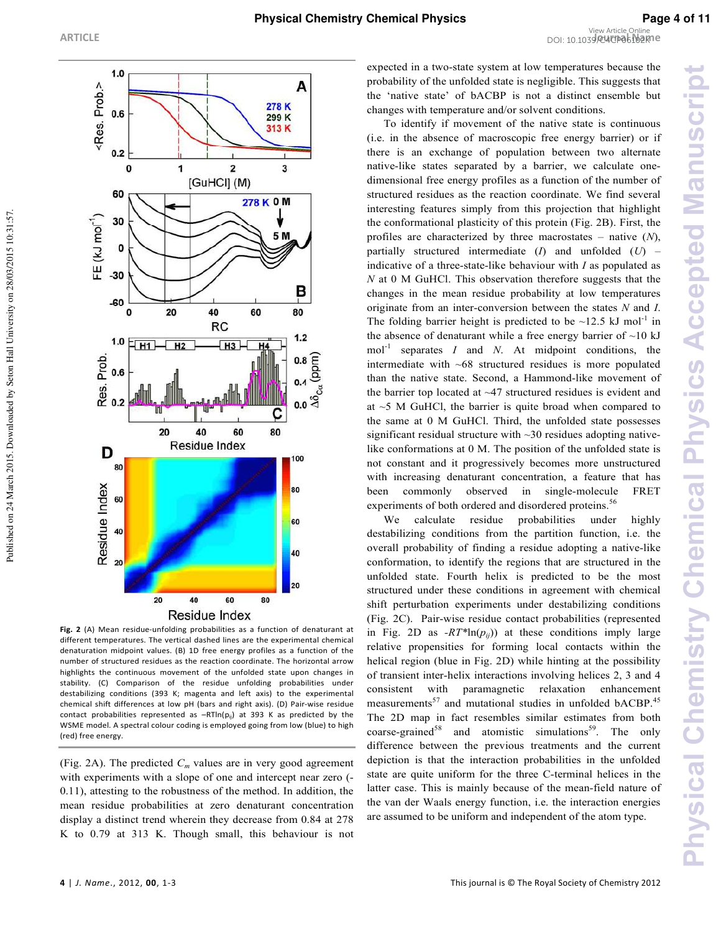Published on 24 March 2015. Downloaded by Seton Hall University on 28/03/2015 10:31:57



**Fig. 2** (A) Mean residue-unfolding probabilities as a function of denaturant at different temperatures. The vertical dashed lines are the experimental chemical denaturation midpoint values. (B) 1D free energy profiles as a function of the number of structured residues as the reaction coordinate. The horizontal arrow highlights the continuous movement of the unfolded state upon changes in stability. (C) Comparison of the residue unfolding probabilities under destabilizing conditions (393 K; magenta and left axis) to the experimental chemical shift differences at low pH (bars and right axis). (D) Pair-wise residue contact probabilities represented as  $-RT\ln(p_{ii})$  at 393 K as predicted by the WSME model. A spectral colour coding is employed going from low (blue) to high (red) free energy.

(Fig. 2A). The predicted  $C_m$  values are in very good agreement with experiments with a slope of one and intercept near zero (-0.11), attesting to the robustness of the method. In addition, the mean residue probabilities at zero denaturant concentration display a distinct trend wherein they decrease from 0.84 at 278 K to 0.79 at 313 K. Though small, this behaviour is not

expected in a two-state system at low temperatures because the probability of the unfolded state is negligible. This suggests that the 'native state' of bACBP is not a distinct ensemble but changes with temperature and/or solvent conditions.

 To identify if movement of the native state is continuous (i.e. in the absence of macroscopic free energy barrier) or if there is an exchange of population between two alternate native.like states separated by a barrier, we calculate one. dimensional free energy profiles as a function of the number of structured residues as the reaction coordinate. We find several interesting features simply from this projection that highlight the conformational plasticity of this protein (Fig. 2B). First, the profiles are characterized by three macrostates – native (*N*), partially structured intermediate (*I*) and unfolded (*U*) – indicative of a three.state.like behaviour with *I* as populated as *N* at 0 M GuHCl. This observation therefore suggests that the changes in the mean residue probability at low temperatures originate from an inter.conversion between the states *N* and *I*. The folding barrier height is predicted to be  $\sim$ 12.5 kJ mol<sup>-1</sup> in the absence of denaturant while a free energy barrier of  $\sim$ 10 kJ  $mol<sup>-1</sup>$  separates *I* and *N*. At midpoint conditions, the intermediate with  $~68$  structured residues is more populated than the native state. Second, a Hammond.like movement of the barrier top located at  $\sim$ 47 structured residues is evident and at  $\sim$  5 M GuHCl, the barrier is quite broad when compared to the same at 0 M GuHCl. Third, the unfolded state possesses significant residual structure with  $\sim$ 30 residues adopting nativelike conformations at 0 M. The position of the unfolded state is not constant and it progressively becomes more unstructured with increasing denaturant concentration, a feature that has been commonly observed in single.molecule FRET experiments of both ordered and disordered proteins. 56

 We calculate residue probabilities under highly destabilizing conditions from the partition function, i.e. the overall probability of finding a residue adopting a native.like conformation, to identify the regions that are structured in the unfolded state. Fourth helix is predicted to be the most structured under these conditions in agreement with chemical shift perturbation experiments under destabilizing conditions (Fig. 2C). Pair.wise residue contact probabilities (represented in Fig. 2D as  $-RT^*ln(p_{ii})$  at these conditions imply large relative propensities for forming local contacts within the helical region (blue in Fig. 2D) while hinting at the possibility of transient inter.helix interactions involving helices 2, 3 and 4 consistent with paramagnetic relaxation enhancement measurements<sup>57</sup> and mutational studies in unfolded bACBP.<sup>45</sup> The 2D map in fact resembles similar estimates from both coarse-grained<sup>58</sup> and atomistic simulations<sup>59</sup>. The only difference between the previous treatments and the current depiction is that the interaction probabilities in the unfolded state are quite uniform for the three C-terminal helices in the latter case. This is mainly because of the mean.field nature of the van der Waals energy function, i.e. the interaction energies are assumed to be uniform and independent of the atom type.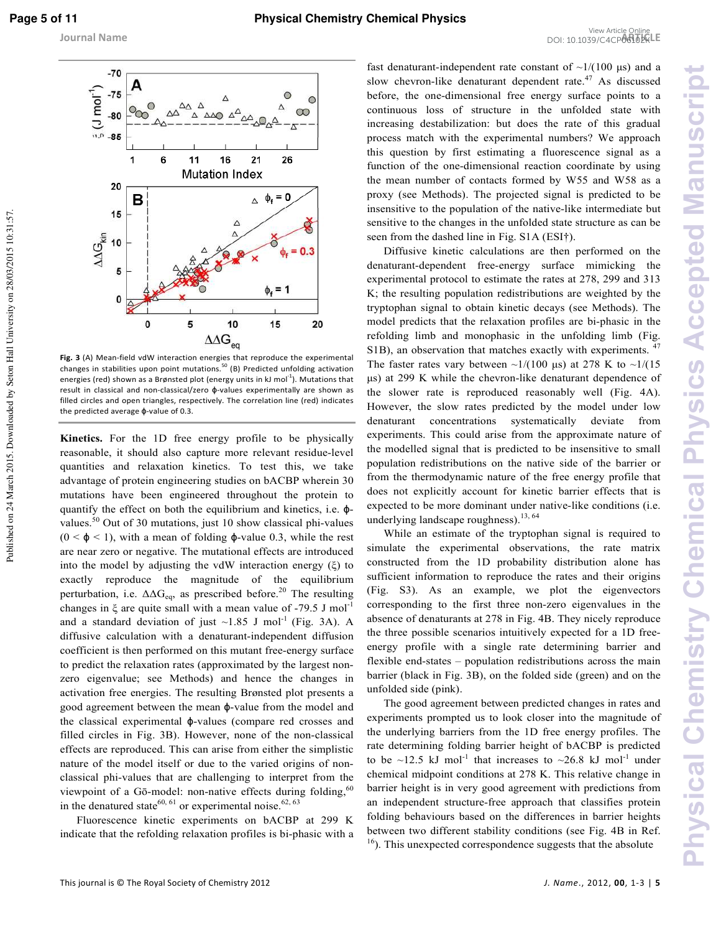Published on 24 March 2015. Downloaded by Seton Hall University on 28/03/2015 10:31:57



**Fig. 3** (A) Mean-field vdW interaction energies that reproduce the experimental changes in stabilities upon point mutations.<sup>50</sup> (B) Predicted unfolding activation energies (red) shown as a Brønsted plot (energy units in kJ mol<sup>-1</sup>). Mutations that result in classical and non-classical/zero ϕ-values experimentally are shown as filled circles and open triangles, respectively. The correlation line (red) indicates the predicted average ϕ-value of 0.3.

**Kinetics.** For the 1D free energy profile to be physically reasonable, it should also capture more relevant residue.level quantities and relaxation kinetics. To test this, we take advantage of protein engineering studies on bACBP wherein 30 mutations have been engineered throughout the protein to quantify the effect on both the equilibrium and kinetics, i.e. ϕ. values.<sup>50</sup> Out of 30 mutations, just 10 show classical phi-values  $(0 < \phi < 1)$ , with a mean of folding  $\phi$ -value 0.3, while the rest are near zero or negative. The mutational effects are introduced into the model by adjusting the vdW interaction energy (ξ) to exactly reproduce the magnitude of the equilibrium perturbation, i.e.  $\Delta\Delta G_{eq}$ , as prescribed before.<sup>20</sup> The resulting changes in  $\xi$  are quite small with a mean value of -79.5 J mol<sup>-1</sup> and a standard deviation of just  $\sim$ 1.85 J mol<sup>-1</sup> (Fig. 3A). A diffusive calculation with a denaturant-independent diffusion coefficient is then performed on this mutant free.energy surface to predict the relaxation rates (approximated by the largest non. zero eigenvalue; see Methods) and hence the changes in activation free energies. The resulting Brønsted plot presents a good agreement between the mean ϕ.value from the model and the classical experimental φ-values (compare red crosses and filled circles in Fig. 3B). However, none of the non-classical effects are reproduced. This can arise from either the simplistic nature of the model itself or due to the varied origins of non. classical phi.values that are challenging to interpret from the viewpoint of a Gō-model: non-native effects during folding,  $60$ in the denatured state<sup>60, 61</sup> or experimental noise.<sup>62, 63</sup>

 Fluorescence kinetic experiments on bACBP at 299 K indicate that the refolding relaxation profiles is bi-phasic with a

fast denaturant-independent rate constant of  $\sim 1/(100 \text{ }\mu\text{s})$  and a slow chevron-like denaturant dependent rate. $47$  As discussed before, the one.dimensional free energy surface points to a continuous loss of structure in the unfolded state with increasing destabilization: but does the rate of this gradual process match with the experimental numbers? We approach this question by first estimating a fluorescence signal as a function of the one-dimensional reaction coordinate by using the mean number of contacts formed by W55 and W58 as a proxy (see Methods). The projected signal is predicted to be insensitive to the population of the native.like intermediate but sensitive to the changes in the unfolded state structure as can be seen from the dashed line in Fig. S1A (ESI†).

 Diffusive kinetic calculations are then performed on the denaturant.dependent free.energy surface mimicking the experimental protocol to estimate the rates at 278, 299 and 313 K; the resulting population redistributions are weighted by the tryptophan signal to obtain kinetic decays (see Methods). The model predicts that the relaxation profiles are bi-phasic in the refolding limb and monophasic in the unfolding limb (Fig. S1B), an observation that matches exactly with experiments. <sup>47</sup> The faster rates vary between  $\sim 1/(100 \text{ }\mu\text{s})$  at 278 K to  $\sim 1/(15$  $\mu$ s) at 299 K while the chevron-like denaturant dependence of the slower rate is reproduced reasonably well (Fig. 4A). However, the slow rates predicted by the model under low denaturant concentrations systematically deviate from experiments. This could arise from the approximate nature of the modelled signal that is predicted to be insensitive to small population redistributions on the native side of the barrier or from the thermodynamic nature of the free energy profile that does not explicitly account for kinetic barrier effects that is expected to be more dominant under native.like conditions (i.e. underlying landscape roughness).<sup>13, 64</sup>

 While an estimate of the tryptophan signal is required to simulate the experimental observations, the rate matrix constructed from the 1D probability distribution alone has sufficient information to reproduce the rates and their origins (Fig. S3). As an example, we plot the eigenvectors corresponding to the first three non.zero eigenvalues in the absence of denaturants at 278 in Fig. 4B. They nicely reproduce the three possible scenarios intuitively expected for a 1D free. energy profile with a single rate determining barrier and flexible end-states – population redistributions across the main barrier (black in Fig. 3B), on the folded side (green) and on the unfolded side (pink).

 The good agreement between predicted changes in rates and experiments prompted us to look closer into the magnitude of the underlying barriers from the 1D free energy profiles. The rate determining folding barrier height of bACBP is predicted to be  $\sim$ 12.5 kJ mol<sup>-1</sup> that increases to  $\sim$ 26.8 kJ mol<sup>-1</sup> under chemical midpoint conditions at 278 K. This relative change in barrier height is in very good agreement with predictions from an independent structure.free approach that classifies protein folding behaviours based on the differences in barrier heights between two different stability conditions (see Fig. 4B in Ref. <sup>16</sup>). This unexpected correspondence suggests that the absolute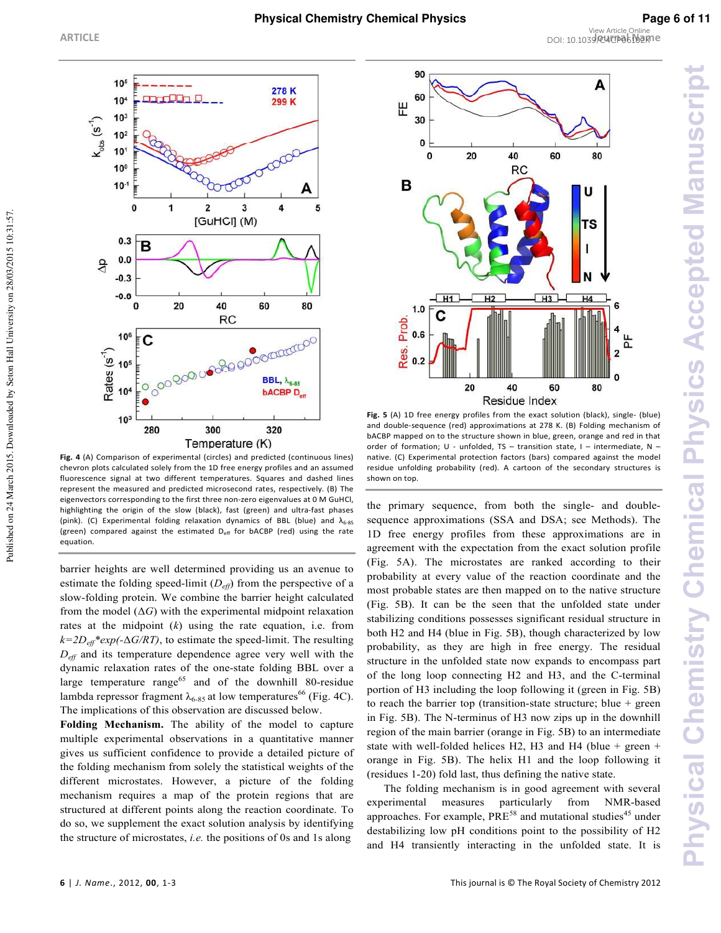$10<sup>5</sup>$ 

 $10<sup>4</sup>$ 

ang Pagay

Published on 24 March 2015. Downloaded by Seton Hall University on 28/03/2015 10:31:57.

Published on 24 March 2015. Downloaded by Seton Hall University on 28/03/2015 10:31:57

90

A

80

TS

 $H<sub>4</sub>$ 

6

 $\overline{2}$ 

0

80

눈

60

 $H3$ 

60



and double-sequence (red) approximations at 278 K. (B) Folding mechanism of bACBP mapped on to the structure shown in blue, green, orange and red in that order of formation; U - unfolded, TS – transition state, I – intermediate, N – native. (C) Experimental protection factors (bars) compared against the model residue unfolding probability (red). A cartoon of the secondary structures is shown on top.

the primary sequence, from both the single. and double. sequence approximations (SSA and DSA; see Methods). The 1D free energy profiles from these approximations are in agreement with the expectation from the exact solution profile (Fig. 5A). The microstates are ranked according to their probability at every value of the reaction coordinate and the most probable states are then mapped on to the native structure (Fig. 5B). It can be the seen that the unfolded state under stabilizing conditions possesses significant residual structure in both H2 and H4 (blue in Fig. 5B), though characterized by low probability, as they are high in free energy. The residual structure in the unfolded state now expands to encompass part of the long loop connecting H2 and H3, and the C.terminal portion of H3 including the loop following it (green in Fig. 5B) to reach the barrier top (transition-state structure; blue  $+$  green in Fig. 5B). The N-terminus of H3 now zips up in the downhill region of the main barrier (orange in Fig. 5B) to an intermediate state with well-folded helices H2, H3 and H4 (blue + green + orange in Fig. 5B). The helix H1 and the loop following it (residues 1.20) fold last, thus defining the native state.

 The folding mechanism is in good agreement with several experimental measures particularly from NMR.based approaches. For example,  $PRE<sup>58</sup>$  and mutational studies<sup>45</sup> under destabilizing low pH conditions point to the possibility of H2 and H4 transiently interacting in the unfolded state. It is



chevron plots calculated solely from the 1D free energy profiles and an assumed fluorescence signal at two different temperatures. Squares and dashed lines represent the measured and predicted microsecond rates, respectively. (B) The eigenvectors corresponding to the first three non-zero eigenvalues at 0 M GuHCl, highlighting the origin of the slow (black), fast (green) and ultra-fast phases (pink). (C) Experimental folding relaxation dynamics of BBL (blue) and  $\lambda_{6-85}$ (green) compared against the estimated D<sub>eff</sub> for bACBP (red) using the rate equation.

barrier heights are well determined providing us an avenue to estimate the folding speed-limit  $(D_{\text{eff}})$  from the perspective of a slow.folding protein. We combine the barrier height calculated from the model  $(\Delta G)$  with the experimental midpoint relaxation rates at the midpoint (*k*) using the rate equation, i.e. from  $k=2D_{\text{eff}}$ <sup>\*</sup>exp( $-\Delta G/RT$ ), to estimate the speed-limit. The resulting *Deff* and its temperature dependence agree very well with the dynamic relaxation rates of the one.state folding BBL over a large temperature range<sup>65</sup> and of the downhill 80-residue lambda repressor fragment  $\lambda_{6.85}$  at low temperatures<sup>66</sup> (Fig. 4C). The implications of this observation are discussed below.

Folding Mechanism. The ability of the model to capture multiple experimental observations in a quantitative manner gives us sufficient confidence to provide a detailed picture of the folding mechanism from solely the statistical weights of the different microstates. However, a picture of the folding mechanism requires a map of the protein regions that are structured at different points along the reaction coordinate. To do so, we supplement the exact solution analysis by identifying the structure of microstates, *i.e.* the positions of 0s and 1s along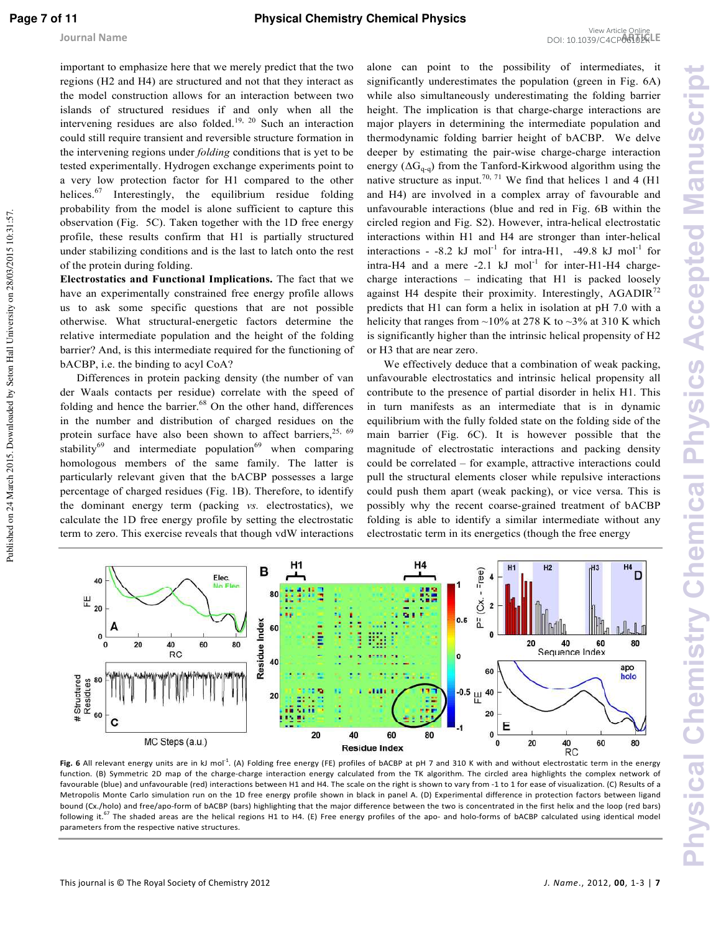Published on 24 March 2015. Downloaded by Seton Hall University on 28/03/2015 10:31:57

important to emphasize here that we merely predict that the two regions (H2 and H4) are structured and not that they interact as the model construction allows for an interaction between two islands of structured residues if and only when all the intervening residues are also folded.19, 20 Such an interaction could still require transient and reversible structure formation in the intervening regions under *folding* conditions that is yet to be tested experimentally. Hydrogen exchange experiments point to a very low protection factor for H1 compared to the other helices.<sup>67</sup> Interestingly, the equilibrium residue folding probability from the model is alone sufficient to capture this observation (Fig. 5C). Taken together with the 1D free energy profile, these results confirm that H1 is partially structured under stabilizing conditions and is the last to latch onto the rest of the protein during folding.

**Electrostatics and Functional Implications.** The fact that we have an experimentally constrained free energy profile allows us to ask some specific questions that are not possible otherwise. What structural.energetic factors determine the relative intermediate population and the height of the folding barrier? And, is this intermediate required for the functioning of bACBP, i.e. the binding to acyl CoA?

 Differences in protein packing density (the number of van der Waals contacts per residue) correlate with the speed of folding and hence the barrier. $68$  On the other hand, differences in the number and distribution of charged residues on the protein surface have also been shown to affect barriers,  $25, 69$ stability<sup>69</sup> and intermediate population<sup>69</sup> when comparing homologous members of the same family. The latter is particularly relevant given that the bACBP possesses a large percentage of charged residues (Fig. 1B). Therefore, to identify the dominant energy term (packing *vs.* electrostatics), we calculate the 1D free energy profile by setting the electrostatic term to zero. This exercise reveals that though vdW interactions

alone can point to the possibility of intermediates, it significantly underestimates the population (green in Fig. 6A) while also simultaneously underestimating the folding barrier height. The implication is that charge-charge interactions are major players in determining the intermediate population and thermodynamic folding barrier height of bACBP. We delve deeper by estimating the pair-wise charge-charge interaction energy ( $\Delta G_{q-q}$ ) from the Tanford-Kirkwood algorithm using the native structure as input.<sup>70, 71</sup> We find that helices 1 and 4 (H1) and H4) are involved in a complex array of favourable and unfavourable interactions (blue and red in Fig. 6B within the circled region and Fig. S2). However, intra.helical electrostatic interactions within H1 and H4 are stronger than inter.helical interactions - -8.2 kJ mol<sup>-1</sup> for intra-H1,  $-49.8$  kJ mol<sup>-1</sup> for  $intra-H4$  and a mere -2.1 kJ mol<sup>-1</sup> for inter-H1-H4 chargecharge interactions – indicating that H1 is packed loosely against H4 despite their proximity. Interestingly,  $AGADIR<sup>72</sup>$ predicts that H1 can form a helix in isolation at pH 7.0 with a helicity that ranges from  $\sim$ 10% at 278 K to  $\sim$ 3% at 310 K which is significantly higher than the intrinsic helical propensity of H2 or H3 that are near zero.

 We effectively deduce that a combination of weak packing, unfavourable electrostatics and intrinsic helical propensity all contribute to the presence of partial disorder in helix H1. This in turn manifests as an intermediate that is in dynamic equilibrium with the fully folded state on the folding side of the main barrier (Fig. 6C). It is however possible that the magnitude of electrostatic interactions and packing density could be correlated – for example, attractive interactions could pull the structural elements closer while repulsive interactions could push them apart (weak packing), or vice versa. This is possibly why the recent coarse.grained treatment of bACBP folding is able to identify a similar intermediate without any electrostatic term in its energetics (though the free energy



Fig. 6 All relevant energy units are in kJ mol<sup>-1</sup>. (A) Folding free energy (FE) profiles of bACBP at pH 7 and 310 K with and without electrostatic term in the energy function. (B) Symmetric 2D map of the charge-charge interaction energy calculated from the TK algorithm. The circled area highlights the complex network of favourable (blue) and unfavourable (red) interactions between H1 and H4. The scale on the right is shown to vary from -1 to 1 for ease of visualization. (C) Results of a Metropolis Monte Carlo simulation run on the 1D free energy profile shown in black in panel A. (D) Experimental difference in protection factors between ligand bound (Cx./holo) and free/apo-form of bACBP (bars) highlighting that the major difference between the two is concentrated in the first helix and the loop (red bars) following it.<sup>67</sup> The shaded areas are the helical regions H1 to H4. (E) Free energy profiles of the apo- and holo-forms of bACBP calculated using identical model parameters from the respective native structures.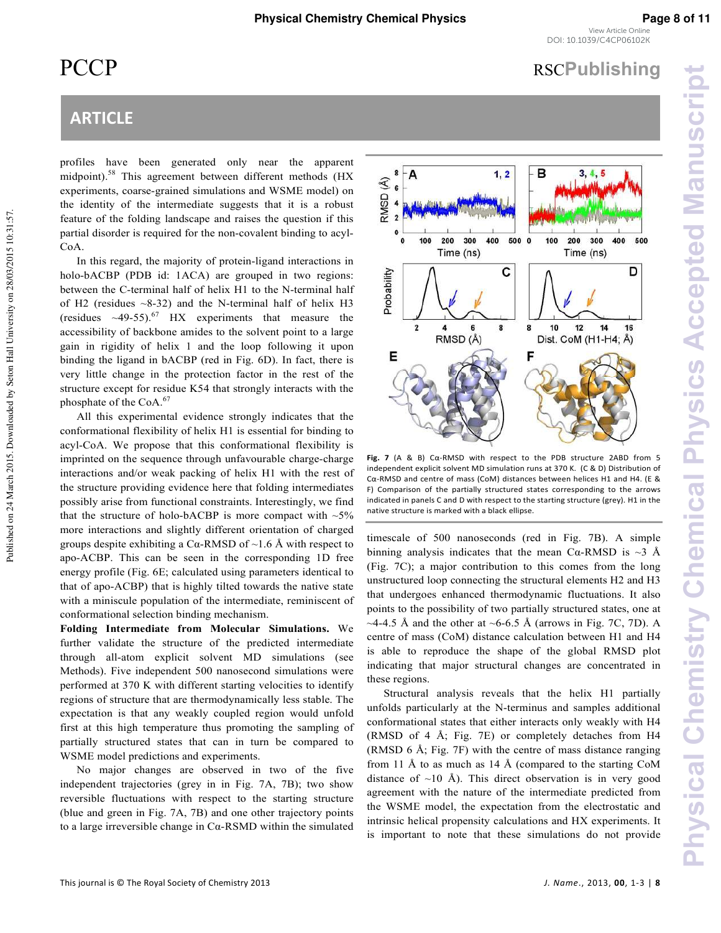# PCCP RSCPu

**ARTICLE** 

## **RSCPublishing** DOI: 10.1039/C4CP06102K

View Article Onlin

profiles have been generated only near the apparent midpoint).<sup>58</sup> This agreement between different methods (HX experiments, coarse-grained simulations and WSME model) on the identity of the intermediate suggests that it is a robust feature of the folding landscape and raises the question if this partial disorder is required for the non.covalent binding to acyl. CoA.

 In this regard, the majority of protein.ligand interactions in holo.bACBP (PDB id: 1ACA) are grouped in two regions: between the C-terminal half of helix H1 to the N-terminal half of H2 (residues  $\sim$ 8-32) and the N-terminal half of helix H3 (residues  $\sim$ 49-55).<sup>67</sup> HX experiments that measure the accessibility of backbone amides to the solvent point to a large gain in rigidity of helix 1 and the loop following it upon binding the ligand in bACBP (red in Fig. 6D). In fact, there is very little change in the protection factor in the rest of the structure except for residue K54 that strongly interacts with the phosphate of the CoA.<sup>67</sup>

 All this experimental evidence strongly indicates that the conformational flexibility of helix H1 is essential for binding to acyl.CoA. We propose that this conformational flexibility is imprinted on the sequence through unfavourable charge-charge interactions and/or weak packing of helix H1 with the rest of the structure providing evidence here that folding intermediates possibly arise from functional constraints. Interestingly, we find that the structure of holo-bACBP is more compact with  $\sim$ 5% more interactions and slightly different orientation of charged groups despite exhibiting a Cα-RMSD of  $~1.6$  Å with respect to apo.ACBP. This can be seen in the corresponding 1D free energy profile (Fig. 6E; calculated using parameters identical to that of apo.ACBP) that is highly tilted towards the native state with a miniscule population of the intermediate, reminiscent of conformational selection binding mechanism.

Folding Intermediate from Molecular Simulations. We further validate the structure of the predicted intermediate through all.atom explicit solvent MD simulations (see Methods). Five independent 500 nanosecond simulations were performed at 370 K with different starting velocities to identify regions of structure that are thermodynamically less stable. The expectation is that any weakly coupled region would unfold first at this high temperature thus promoting the sampling of partially structured states that can in turn be compared to WSME model predictions and experiments.

 No major changes are observed in two of the five independent trajectories (grey in in Fig. 7A, 7B); two show reversible fluctuations with respect to the starting structure (blue and green in Fig. 7A, 7B) and one other trajectory points to a large irreversible change in  $Ca$ -RSMD within the simulated



**Fig. 7** (A & B) Cα-RMSD with respect to the PDB structure 2ABD from 5 independent explicit solvent MD simulation runs at 370 K. (C & D) Distribution of Cα-RMSD and centre of mass (CoM) distances between helices H1 and H4. (E & F) Comparison of the partially structured states corresponding to the arrows indicated in panels C and D with respect to the starting structure (grey). H1 in the native structure is marked with a black ellipse.

timescale of 500 nanoseconds (red in Fig. 7B). A simple binning analysis indicates that the mean Cα-RMSD is  $\sim$ 3 Å (Fig. 7C); a major contribution to this comes from the long unstructured loop connecting the structural elements H2 and H3 that undergoes enhanced thermodynamic fluctuations. It also points to the possibility of two partially structured states, one at  $\sim$ 4-4.5 Å and the other at  $\sim$ 6-6.5 Å (arrows in Fig. 7C, 7D). A centre of mass (CoM) distance calculation between H1 and H4 is able to reproduce the shape of the global RMSD plot indicating that major structural changes are concentrated in these regions.

 Structural analysis reveals that the helix H1 partially unfolds particularly at the N.terminus and samples additional conformational states that either interacts only weakly with H4 (RMSD of 4 Å; Fig. 7E) or completely detaches from H4 (RMSD 6 Å; Fig. 7F) with the centre of mass distance ranging from 11 Å to as much as 14 Å (compared to the starting CoM distance of  $\sim$ 10 Å). This direct observation is in very good agreement with the nature of the intermediate predicted from the WSME model, the expectation from the electrostatic and intrinsic helical propensity calculations and HX experiments. It is important to note that these simulations do not provide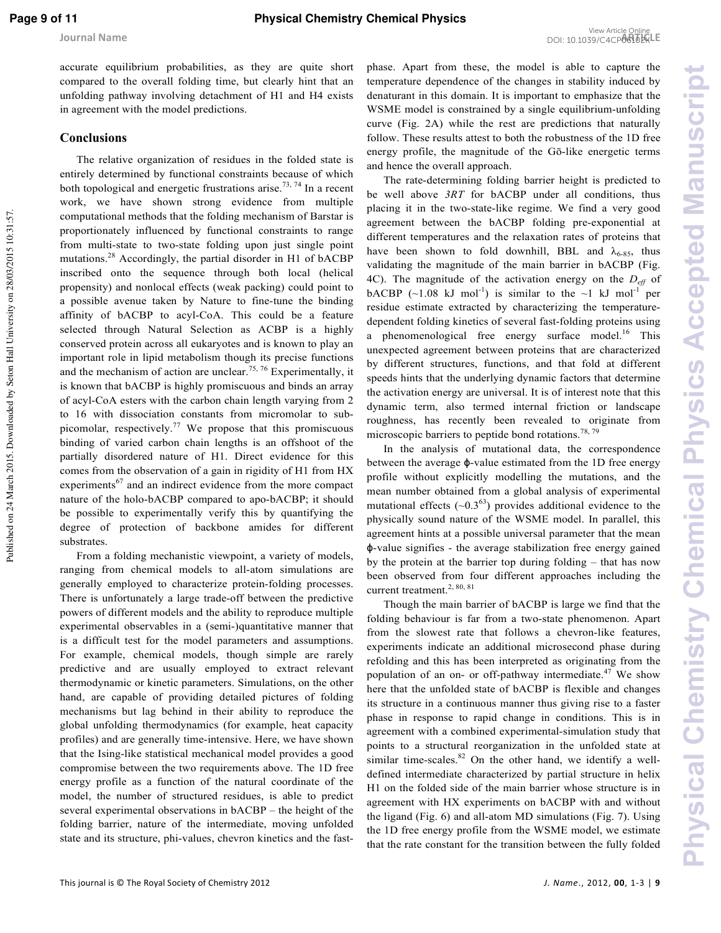Published on 24 March 2015. Downloaded by Seton Hall University on 28/03/2015 10:31:57

accurate equilibrium probabilities, as they are quite short compared to the overall folding time, but clearly hint that an unfolding pathway involving detachment of H1 and H4 exists in agreement with the model predictions.

## **Conclusions**

 The relative organization of residues in the folded state is entirely determined by functional constraints because of which both topological and energetic frustrations arise.<sup>73, 74</sup> In a recent work, we have shown strong evidence from multiple computational methods that the folding mechanism of Barstar is proportionately influenced by functional constraints to range from multi-state to two-state folding upon just single point mutations.<sup>28</sup> Accordingly, the partial disorder in H1 of bACBP inscribed onto the sequence through both local (helical propensity) and nonlocal effects (weak packing) could point to a possible avenue taken by Nature to fine.tune the binding affinity of bACBP to acyl.CoA. This could be a feature selected through Natural Selection as ACBP is a highly conserved protein across all eukaryotes and is known to play an important role in lipid metabolism though its precise functions and the mechanism of action are unclear.<sup>75, 76</sup> Experimentally, it is known that bACBP is highly promiscuous and binds an array of acyl.CoA esters with the carbon chain length varying from 2 to 16 with dissociation constants from micromolar to sub. picomolar, respectively.<sup>77</sup> We propose that this promiscuous binding of varied carbon chain lengths is an offshoot of the partially disordered nature of H1. Direct evidence for this comes from the observation of a gain in rigidity of H1 from HX experiments<sup>67</sup> and an indirect evidence from the more compact nature of the holo.bACBP compared to apo.bACBP; it should be possible to experimentally verify this by quantifying the degree of protection of backbone amides for different substrates.

 From a folding mechanistic viewpoint, a variety of models, ranging from chemical models to all-atom simulations are generally employed to characterize protein.folding processes. There is unfortunately a large trade.off between the predictive powers of different models and the ability to reproduce multiple experimental observables in a (semi-)quantitative manner that is a difficult test for the model parameters and assumptions. For example, chemical models, though simple are rarely predictive and are usually employed to extract relevant thermodynamic or kinetic parameters. Simulations, on the other hand, are capable of providing detailed pictures of folding mechanisms but lag behind in their ability to reproduce the global unfolding thermodynamics (for example, heat capacity profiles) and are generally time-intensive. Here, we have shown that the Ising-like statistical mechanical model provides a good compromise between the two requirements above. The 1D free energy profile as a function of the natural coordinate of the model, the number of structured residues, is able to predict several experimental observations in bACBP – the height of the folding barrier, nature of the intermediate, moving unfolded state and its structure, phi-values, chevron kinetics and the fastphase. Apart from these, the model is able to capture the temperature dependence of the changes in stability induced by denaturant in this domain. It is important to emphasize that the WSME model is constrained by a single equilibrium-unfolding curve (Fig. 2A) while the rest are predictions that naturally follow. These results attest to both the robustness of the 1D free energy profile, the magnitude of the Gō-like energetic terms and hence the overall approach.

 The rate.determining folding barrier height is predicted to be well above *3RT* for bACBP under all conditions, thus placing it in the two.state.like regime. We find a very good agreement between the bACBP folding pre.exponential at different temperatures and the relaxation rates of proteins that have been shown to fold downhill, BBL and  $\lambda_{6.85}$ , thus validating the magnitude of the main barrier in bACBP (Fig. 4C). The magnitude of the activation energy on the  $D_{\text{eff}}$  of bACBP (~1.08 kJ mol<sup>-1</sup>) is similar to the ~1 kJ mol<sup>-1</sup> per residue estimate extracted by characterizing the temperature. dependent folding kinetics of several fast.folding proteins using a phenomenological free energy surface model.<sup>16</sup> This unexpected agreement between proteins that are characterized by different structures, functions, and that fold at different speeds hints that the underlying dynamic factors that determine the activation energy are universal. It is of interest note that this dynamic term, also termed internal friction or landscape roughness, has recently been revealed to originate from microscopic barriers to peptide bond rotations.<sup>78, 79</sup>

 In the analysis of mutational data, the correspondence between the average  $\phi$ -value estimated from the 1D free energy profile without explicitly modelling the mutations, and the mean number obtained from a global analysis of experimental mutational effects  $({\sim}0.3^{63})$  provides additional evidence to the physically sound nature of the WSME model. In parallel, this agreement hints at a possible universal parameter that the mean ϕ.value signifies . the average stabilization free energy gained by the protein at the barrier top during folding – that has now been observed from four different approaches including the current treatment. $2, 80, 81$ 

 Though the main barrier of bACBP is large we find that the folding behaviour is far from a two-state phenomenon. Apart from the slowest rate that follows a chevron-like features, experiments indicate an additional microsecond phase during refolding and this has been interpreted as originating from the population of an on- or off-pathway intermediate.<sup>47</sup> We show here that the unfolded state of bACBP is flexible and changes its structure in a continuous manner thus giving rise to a faster phase in response to rapid change in conditions. This is in agreement with a combined experimental-simulation study that points to a structural reorganization in the unfolded state at similar time-scales.<sup>82</sup> On the other hand, we identify a welldefined intermediate characterized by partial structure in helix H1 on the folded side of the main barrier whose structure is in agreement with HX experiments on bACBP with and without the ligand (Fig. 6) and all-atom MD simulations (Fig. 7). Using the 1D free energy profile from the WSME model, we estimate that the rate constant for the transition between the fully folded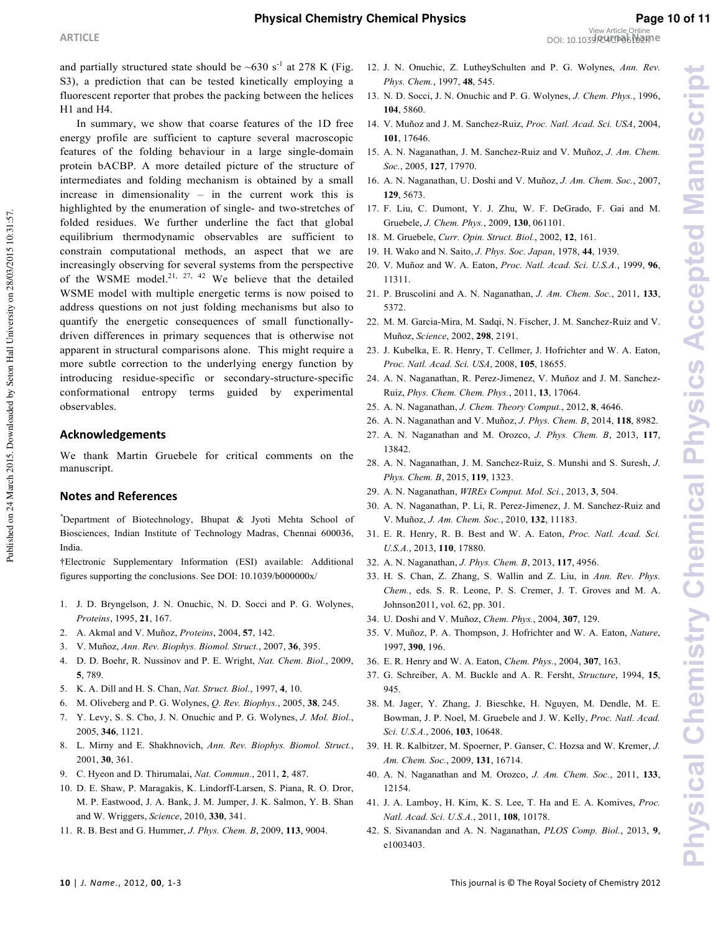and partially structured state should be  $\sim$ 630 s<sup>-1</sup> at 278 K (Fig. S3), a prediction that can be tested kinetically employing a fluorescent reporter that probes the packing between the helices H1 and H4.

 In summary, we show that coarse features of the 1D free energy profile are sufficient to capture several macroscopic features of the folding behaviour in a large single.domain protein bACBP. A more detailed picture of the structure of intermediates and folding mechanism is obtained by a small increase in dimensionality – in the current work this is highlighted by the enumeration of single- and two-stretches of folded residues. We further underline the fact that global equilibrium thermodynamic observables are sufficient to constrain computational methods, an aspect that we are increasingly observing for several systems from the perspective of the WSME model.<sup>21, 27, 42</sup> We believe that the detailed WSME model with multiple energetic terms is now poised to address questions on not just folding mechanisms but also to quantify the energetic consequences of small functionally. driven differences in primary sequences that is otherwise not apparent in structural comparisons alone. This might require a more subtle correction to the underlying energy function by introducing residue.specific or secondary.structure.specific conformational entropy terms guided by experimental observables.

## **Acknowledgements**

We thank Martin Gruebele for critical comments on the manuscript.

#### **Notes and References**

*\**Department of Biotechnology, Bhupat & Jyoti Mehta School of Biosciences, Indian Institute of Technology Madras, Chennai 600036, India.

†Electronic Supplementary Information (ESI) available: Additional figures supporting the conclusions. See DOI: 10.1039/b000000x/

- 1. J. D. Bryngelson, J. N. Onuchic, N. D. Socci and P. G. Wolynes, *Proteins*, 1995, **\***, 167.
- 2. A. Akmal and V. Muñoz, *Proteins*, 2004, 57, 142.
- 3. V. Muñoz, *Ann. Rev. Biophys. Biomol. Struct.*, 2007, 36, 395.
- 4. D. D. Boehr, R. Nussinov and P. E. Wright, *Nat. Chem. Biol.*, 2009, **+**, 789.
- 5. K. A. Dill and H. S. Chan, *Nat. Struct. Biol.*, 1997, **.**, 10.
- 6. M. Oliveberg and P. G. Wolynes, *Q. Rev. Biophys.*, 2005, 38, 245.
- 7. Y. Levy, S. S. Cho, J. N. Onuchic and P. G. Wolynes, *J. Mol. Biol.*, 2005, 346, 1121.
- 8. L. Mirny and E. Shakhnovich, *Ann. Rev. Biophys. Biomol. Struct.*, 2001, 30, 361.
- 9. C. Hyeon and D. Thirumalai, *Nat. Commun.*, 2011, **\***, 487.
- 10. D. E. Shaw, P. Maragakis, K. Lindorff.Larsen, S. Piana, R. O. Dror, M. P. Eastwood, J. A. Bank, J. M. Jumper, J. K. Salmon, Y. B. Shan and W. Wriggers, *Science*, 2010, 330, 341.
- 11. R. B. Best and G. Hummer, *J. Phys. Chem. B*, 2009, , 9004.
- 12. J. N. Onuchic, Z. LutheySchulten and P. G. Wolynes, *Ann. Rev. Phys. Chem.*, 1997, 48, 545.
- 13. N. D. Socci, J. N. Onuchic and P. G. Wolynes, *J. Chem. Phys.*, 1996, **.**, 5860.
- 14. V. Muñoz and J. M. Sanchez.Ruiz, *Proc. Natl. Acad. Sci. USA*, 2004, , 17646.
- 15. A. N. Naganathan, J. M. Sanchez.Ruiz and V. Muñoz, *J. Am. Chem.*   $Soc., 2005, 127, 17970.$
- 16. A. N. Naganathan, U. Doshi and V. Muñoz, *J. Am. Chem. Soc.*, 2007, **\***, 5673.
- 17. F. Liu, C. Dumont, Y. J. Zhu, W. F. DeGrado, F. Gai and M. Gruebele, *J. Chem. Phys.*, 2009, , 061101.
- 18. M. Gruebele, *Curr. Opin. Struct. Biol.*, 2002, 12, 161.
- 19. H. Wako and N. Saito, *J. Phys. Soc. Japan*, 1978, **..**, 1939.
- 20. V. Muñoz and W. A. Eaton, *Proc. Natl. Acad. Sci. U.S.A.*, 1999, 96, 11311.
- 21. P. Bruscolini and A. N. Naganathan, *J. Am. Chem. Soc.*, 2011, , 5372.
- 22. M. M. Garcia.Mira, M. Sadqi, N. Fischer, J. M. Sanchez.Ruiz and V. Muñoz, *Science*, 2002, 298, 2191.
- 23. J. Kubelka, E. R. Henry, T. Cellmer, J. Hofrichter and W. A. Eaton, Proc. Natl. Acad. Sci. USA, 2008, 105, 18655.
- 24. A. N. Naganathan, R. Perez.Jimenez, V. Muñoz and J. M. Sanchez. Ruiz, *Phys. Chem. Chem. Phys.*, 2011, , 17064.
- 25. A. N. Naganathan, *J. Chem. Theory Comput.*, 2012, 8, 4646.
- 26. A. N. Naganathan and V. Muñoz, *J. Phys. Chem. B*, 2014, 118, 8982.
- 27. A. N. Naganathan and M. Orozco, *J. Phys. Chem. B*, 2013, 117, 13842.
- 28. A. N. Naganathan, J. M. Sanchez.Ruiz, S. Munshi and S. Suresh, *J. Phys. Chem. B*, 2015, , 1323.
- 29. A. N. Naganathan, *WIREs Comput. Mol. Sci.*, 2013, 3, 504.
- 30. A. N. Naganathan, P. Li, R. Perez.Jimenez, J. M. Sanchez.Ruiz and V. Muñoz, *J. Am. Chem. Soc.*, 2010, **\***, 11183.
- 31. E. R. Henry, R. B. Best and W. A. Eaton, *Proc. Natl. Acad. Sci. U.S.A.*, 2013, , 17880.
- 32. A. N. Naganathan, *J. Phys. Chem. B*, 2013, 117, 4956.
- 33. H. S. Chan, Z. Zhang, S. Wallin and Z. Liu, in *Ann. Rev. Phys. Chem.*, eds. S. R. Leone, P. S. Cremer, J. T. Groves and M. A. Johnson2011, vol. 62, pp. 301.
- 34. U. Doshi and V. Muñoz, *Chem. Phys.*, 2004, 307, 129.
- 35. V. Muñoz, P. A. Thompson, J. Hofrichter and W. A. Eaton, *Nature*, 1997, 390, 196.
- 36. E. R. Henry and W. A. Eaton, *Chem. Phys.*, 2004, 307, 163.
- 37. G. Schreiber, A. M. Buckle and A. R. Fersht, *Structure*, 1994, 15, 945.
- 38. M. Jager, Y. Zhang, J. Bieschke, H. Nguyen, M. Dendle, M. E. Bowman, J. P. Noel, M. Gruebele and J. W. Kelly, *Proc. Natl. Acad. Sci. U.S.A.*, 2006, , 10648.
- 39. H. R. Kalbitzer, M. Spoerner, P. Ganser, C. Hozsa and W. Kremer, *J. Am. Chem. Soc.*, 2009, , 16714.
- 40. A. N. Naganathan and M. Orozco, *J. Am. Chem. Soc.*, 2011, , 12154.
- 41. J. A. Lamboy, H. Kim, K. S. Lee, T. Ha and E. A. Komives, *Proc. Natl. Acad. Sci. U.S.A.*, 2011, **/**, 10178.
- 42. S. Sivanandan and A. N. Naganathan, *PLOS Comp. Biol.*, 2013, 9, e1003403.